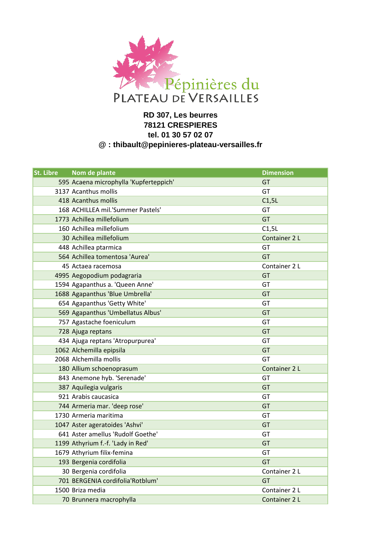

## **RD 307, Les beurres 78121 CRESPIERES tel. 01 30 57 02 07 @ : thibault@pepinieres-plateau-versailles.fr**

| St. Libre | Nom de plante                          | <b>Dimension</b> |
|-----------|----------------------------------------|------------------|
|           | 595 Acaena microphylla 'Kupferteppich' | GT               |
|           | 3137 Acanthus mollis                   | GT               |
|           | 418 Acanthus mollis                    | C1,5L            |
|           | 168 ACHILLEA mil.'Summer Pastels'      | GT               |
|           | 1773 Achillea millefolium              | GT               |
|           | 160 Achillea millefolium               | C1,5L            |
|           | 30 Achillea millefolium                | Container 2 L    |
|           | 448 Achillea ptarmica                  | GT               |
|           | 564 Achillea tomentosa 'Aurea'         | GT               |
|           | 45 Actaea racemosa                     | Container 2 L    |
|           | 4995 Aegopodium podagraria             | GT               |
|           | 1594 Agapanthus a. 'Queen Anne'        | GT               |
|           | 1688 Agapanthus 'Blue Umbrella'        | <b>GT</b>        |
|           | 654 Agapanthus 'Getty White'           | GT               |
|           | 569 Agapanthus 'Umbellatus Albus'      | GT               |
|           | 757 Agastache foeniculum               | GT               |
|           | 728 Ajuga reptans                      | GT               |
|           | 434 Ajuga reptans 'Atropurpurea'       | GT               |
|           | 1062 Alchemilla epipsila               | GT               |
|           | 2068 Alchemilla mollis                 | GT               |
|           | 180 Allium schoenoprasum               | Container 2 L    |
|           | 843 Anemone hyb. 'Serenade'            | GT               |
|           | 387 Aquilegia vulgaris                 | GT               |
|           | 921 Arabis caucasica                   | GT               |
|           | 744 Armeria mar. 'deep rose'           | GT               |
|           | 1730 Armeria maritima                  | GT               |
|           | 1047 Aster ageratoides 'Ashvi'         | GT               |
|           | 641 Aster amellus 'Rudolf Goethe'      | GT               |
|           | 1199 Athyrium f.-f. 'Lady in Red'      | GT               |
|           | 1679 Athyrium filix-femina             | GT               |
|           | 193 Bergenia cordifolia                | GT               |
|           | 30 Bergenia cordifolia                 | Container 2 L    |
|           | 701 BERGENIA cordifolia'Rotblum'       | GT               |
|           | 1500 Briza media                       | Container 2 L    |
|           | 70 Brunnera macrophylla                | Container 2 L    |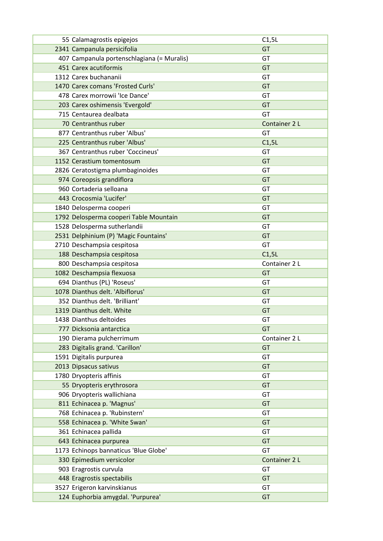| 55 Calamagrostis epigejos                  | C1,5L         |
|--------------------------------------------|---------------|
| 2341 Campanula persicifolia                | GT            |
| 407 Campanula portenschlagiana (= Muralis) | GT            |
| 451 Carex acutiformis                      | GT            |
| 1312 Carex buchananii                      | GT            |
| 1470 Carex comans 'Frosted Curls'          | GT            |
| 478 Carex morrowii 'Ice Dance'             | GT            |
| 203 Carex oshimensis 'Evergold'            | GT            |
| 715 Centaurea dealbata                     | GT            |
| 70 Centranthus ruber                       | Container 2 L |
| 877 Centranthus ruber 'Albus'              | GT            |
| 225 Centranthus ruber 'Albus'              | C1,5L         |
| 367 Centranthus ruber 'Coccineus'          | GT            |
| 1152 Cerastium tomentosum                  | GT            |
| 2826 Ceratostigma plumbaginoides           | GT            |
| 974 Coreopsis grandiflora                  | GT            |
| 960 Cortaderia selloana                    | GT            |
| 443 Crocosmia 'Lucifer'                    | GT            |
| 1840 Delosperma cooperi                    | GT            |
| 1792 Delosperma cooperi Table Mountain     | GT            |
| 1528 Delosperma sutherlandii               | GT            |
| 2531 Delphinium (P) 'Magic Fountains'      | GT            |
| 2710 Deschampsia cespitosa                 | GT            |
| 188 Deschampsia cespitosa                  | C1,5L         |
| 800 Deschampsia cespitosa                  | Container 2 L |
| 1082 Deschampsia flexuosa                  | GT            |
| 694 Dianthus (PL) 'Roseus'                 | GT            |
| 1078 Dianthus delt. 'Albiflorus'           | GT            |
| 352 Dianthus delt. 'Brilliant'             | GT            |
| 1319 Dianthus delt. White                  | GT            |
| 1438 Dianthus deltoides                    | GT            |
| 777 Dicksonia antarctica                   | GT            |
| 190 Dierama pulcherrimum                   | Container 2 L |
| 283 Digitalis grand. 'Carillon'            | GT            |
| 1591 Digitalis purpurea                    | GT            |
| 2013 Dipsacus sativus                      | GT            |
| 1780 Dryopteris affinis                    | GT            |
| 55 Dryopteris erythrosora                  | GT            |
| 906 Dryopteris wallichiana                 | GT            |
| 811 Echinacea p. 'Magnus'                  | GT            |
| 768 Echinacea p. 'Rubinstern'              | GT            |
| 558 Echinacea p. 'White Swan'              | GT            |
| 361 Echinacea pallida                      | GT            |
| 643 Echinacea purpurea                     | GT            |
| 1173 Echinops bannaticus 'Blue Globe'      | GT            |
| 330 Epimedium versicolor                   | Container 2 L |
| 903 Eragrostis curvula                     | GT            |
|                                            | GT            |
| 448 Eragrostis spectabilis                 |               |
| 3527 Erigeron karvinskianus                | GT            |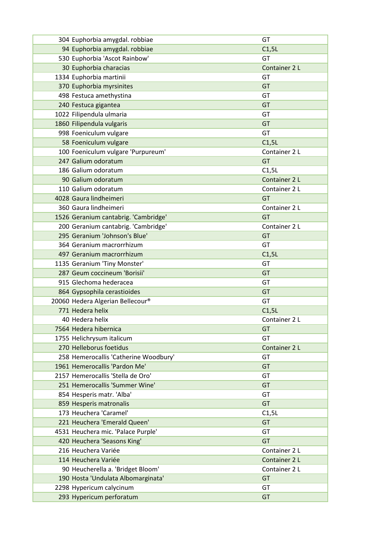| 304 Euphorbia amygdal. robbiae        | GT            |
|---------------------------------------|---------------|
| 94 Euphorbia amygdal. robbiae         | C1,5L         |
| 530 Euphorbia 'Ascot Rainbow'         | GT            |
| 30 Euphorbia characias                | Container 2 L |
| 1334 Euphorbia martinii               | GT            |
| 370 Euphorbia myrsinites              | <b>GT</b>     |
| 498 Festuca amethystina               | GT            |
| 240 Festuca gigantea                  | GT            |
| 1022 Filipendula ulmaria              | GT            |
| 1860 Filipendula vulgaris             | GT            |
| 998 Foeniculum vulgare                | GT            |
| 58 Foeniculum vulgare                 | C1,5L         |
| 100 Foeniculum vulgare 'Purpureum'    | Container 2 L |
| 247 Galium odoratum                   | GT            |
| 186 Galium odoratum                   | C1,5L         |
| 90 Galium odoratum                    | Container 2 L |
| 110 Galium odoratum                   | Container 2 L |
| 4028 Gaura lindheimeri                | <b>GT</b>     |
| 360 Gaura lindheimeri                 | Container 2 L |
| 1526 Geranium cantabrig. 'Cambridge'  | GT            |
| 200 Geranium cantabrig. 'Cambridge'   | Container 2 L |
| 295 Geranium 'Johnson's Blue'         | <b>GT</b>     |
| 364 Geranium macrorrhizum             | GT            |
| 497 Geranium macrorrhizum             | C1,5L         |
| 1135 Geranium 'Tiny Monster'          | GT            |
| 287 Geum coccineum 'Borisii'          | GT            |
| 915 Glechoma hederacea                | GT            |
| 864 Gypsophila cerastioides           | GT            |
| 20060 Hedera Algerian Bellecour®      | GT            |
| 771 Hedera helix                      | C1,5L         |
| 40 Hedera helix                       | Container 2 L |
| 7564 Hedera hibernica                 | <b>GT</b>     |
| 1755 Helichrysum italicum             | GT            |
| 270 Helleborus foetidus               | Container 2 L |
| 258 Hemerocallis 'Catherine Woodbury' | GT            |
| 1961 Hemerocallis 'Pardon Me'         | GT            |
| 2157 Hemerocallis 'Stella de Oro'     | GT            |
| 251 Hemerocallis 'Summer Wine'        | GT            |
| 854 Hesperis matr. 'Alba'             | GT            |
| 859 Hesperis matronalis               | GT            |
| 173 Heuchera 'Caramel'                | C1,5L         |
| 221 Heuchera 'Emerald Queen'          | GT            |
| 4531 Heuchera mic. 'Palace Purple'    | GT            |
| 420 Heuchera 'Seasons King'           | <b>GT</b>     |
| 216 Heuchera Variée                   | Container 2 L |
| 114 Heuchera Variée                   | Container 2 L |
| 90 Heucherella a. 'Bridget Bloom'     | Container 2 L |
| 190 Hosta 'Undulata Albomarginata'    | GT            |
| 2298 Hypericum calycinum              | GT            |
| 293 Hypericum perforatum              | GT            |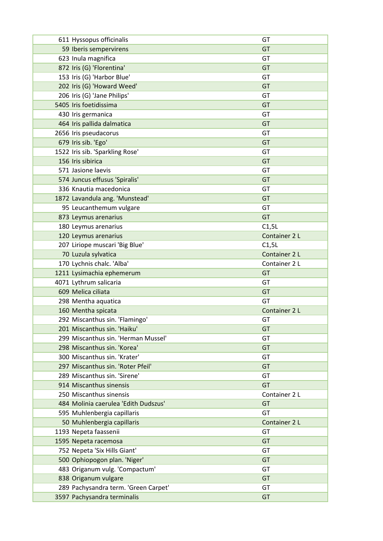| 611 Hyssopus officinalis                            | GT            |
|-----------------------------------------------------|---------------|
| 59 Iberis sempervirens                              | GT            |
| 623 Inula magnifica                                 | GT            |
| 872 Iris (G) 'Florentina'                           | GT            |
| 153 Iris (G) 'Harbor Blue'                          | GT            |
| 202 Iris (G) 'Howard Weed'                          | <b>GT</b>     |
| 206 Iris (G) 'Jane Philips'                         | GT            |
| 5405 Iris foetidissima                              | GT            |
| 430 Iris germanica                                  | GT            |
| 464 Iris pallida dalmatica                          | <b>GT</b>     |
| 2656 Iris pseudacorus                               | GT            |
| 679 Iris sib. 'Ego'                                 | GT            |
| 1522 Iris sib. 'Sparkling Rose'                     | GT            |
| 156 Iris sibirica                                   | GT            |
| 571 Jasione laevis                                  | GT            |
| 574 Juncus effusus 'Spiralis'                       | GT            |
| 336 Knautia macedonica                              | GT            |
| 1872 Lavandula ang. 'Munstead'                      | GT            |
| 95 Leucanthemum vulgare                             | GT            |
| 873 Leymus arenarius                                | <b>GT</b>     |
| 180 Leymus arenarius                                | C1,5L         |
| 120 Leymus arenarius                                | Container 2 L |
| 207 Liriope muscari 'Big Blue'                      | C1,5L         |
| 70 Luzula sylvatica                                 | Container 2 L |
| 170 Lychnis chalc. 'Alba'                           | Container 2 L |
|                                                     |               |
|                                                     | GT            |
| 1211 Lysimachia ephemerum<br>4071 Lythrum salicaria | GT            |
| 609 Melica ciliata                                  | GT            |
| 298 Mentha aquatica                                 | GT            |
| 160 Mentha spicata                                  | Container 2 L |
| 292 Miscanthus sin. 'Flamingo'                      | GT            |
| 201 Miscanthus sin. 'Haiku'                         | GT            |
| 299 Miscanthus sin. 'Herman Mussel'                 | GT            |
| 298 Miscanthus sin. 'Korea'                         | GT            |
| 300 Miscanthus sin. 'Krater'                        | GT            |
| 297 Miscanthus sin. 'Roter Pfeil'                   | GT            |
| 289 Miscanthus sin. 'Sirene'                        | GT            |
| 914 Miscanthus sinensis                             | GT            |
| 250 Miscanthus sinensis                             | Container 2 L |
| 484 Molinia caerulea 'Edith Dudszus'                | GT            |
| 595 Muhlenbergia capillaris                         | GT            |
| 50 Muhlenbergia capillaris                          | Container 2 L |
| 1193 Nepeta faassenii                               | GT            |
| 1595 Nepeta racemosa                                | GT            |
| 752 Nepeta 'Six Hills Giant'                        | GT            |
| 500 Ophiopogon plan. 'Niger'                        | GT            |
| 483 Origanum vulg. 'Compactum'                      | GT            |
| 838 Origanum vulgare                                | GT            |
| 289 Pachysandra term. 'Green Carpet'                | GT            |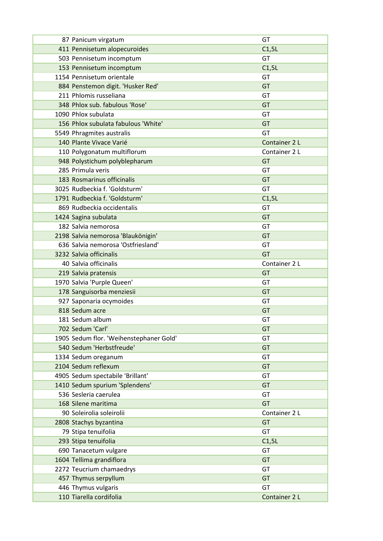| 87 Panicum virgatum                     | GT            |
|-----------------------------------------|---------------|
| 411 Pennisetum alopecuroides            | C1,5L         |
| 503 Pennisetum incomptum                | GT            |
| 153 Pennisetum incomptum                | C1,5L         |
| 1154 Pennisetum orientale               | GT            |
| 884 Penstemon digit. 'Husker Red'       | GT            |
| 211 Phlomis russeliana                  | GT            |
| 348 Phlox sub. fabulous 'Rose'          | GT            |
| 1090 Phlox subulata                     | GT            |
| 156 Phlox subulata fabulous 'White'     | GT            |
| 5549 Phragmites australis               | GT            |
| 140 Plante Vivace Varié                 | Container 2 L |
| 110 Polygonatum multiflorum             | Container 2 L |
| 948 Polystichum polyblepharum           | GT            |
| 285 Primula veris                       | GT            |
| 183 Rosmarinus officinalis              | <b>GT</b>     |
| 3025 Rudbeckia f. 'Goldsturm'           | GT            |
| 1791 Rudbeckia f. 'Goldsturm'           | C1,5L         |
| 869 Rudbeckia occidentalis              | GT            |
| 1424 Sagina subulata                    | GT            |
| 182 Salvia nemorosa                     | GT            |
| 2198 Salvia nemorosa 'Blaukönigin'      | GT            |
| 636 Salvia nemorosa 'Ostfriesland'      | GT            |
| 3232 Salvia officinalis                 | <b>GT</b>     |
| 40 Salvia officinalis                   | Container 2 L |
| 219 Salvia pratensis                    | GT            |
| 1970 Salvia 'Purple Queen'              | GT            |
| 178 Sanguisorba menziesii               | GT            |
| 927 Saponaria ocymoides                 | GT            |
| 818 Sedum acre                          | GT            |
| 181 Sedum album                         | GT            |
| 702 Sedum 'Carl'                        | GT            |
| 1905 Sedum flor. 'Weihenstephaner Gold' | GT            |
| 540 Sedum 'Herbstfreude'                | GT            |
| 1334 Sedum oreganum                     | GT            |
| 2104 Sedum reflexum                     | GT            |
| 4905 Sedum spectabile 'Brillant'        | GT            |
| 1410 Sedum spurium 'Splendens'          | GT            |
| 536 Sesleria caerulea                   | GT            |
| 168 Silene maritima                     | GT            |
| 90 Soleirolia soleirolii                |               |
|                                         | Container 2 L |
| 2808 Stachys byzantina                  | GT            |
| 79 Stipa tenuifolia                     | GT            |
| 293 Stipa tenuifolia                    | C1,5L         |
| 690 Tanacetum vulgare                   | GT            |
| 1604 Tellima grandiflora                | GT            |
| 2272 Teucrium chamaedrys                | GT            |
| 457 Thymus serpyllum                    | GT            |
| 446 Thymus vulgaris                     | GT            |
| 110 Tiarella cordifolia                 | Container 2 L |